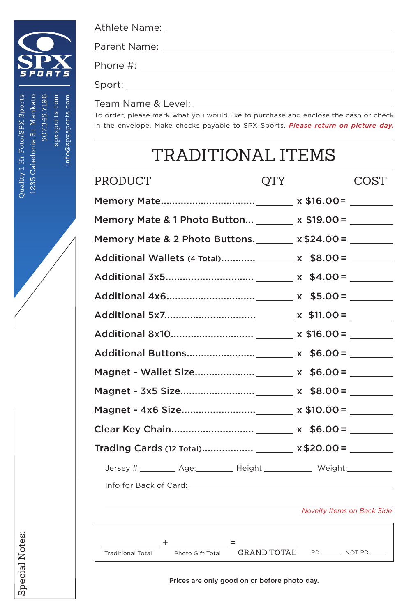

Quality 1 Hr Foto/SPX Sports info@spxsports.com Quality 1 Hr Foto/SPX Sports 1235 Caledonia St. Mankato 1235 Caledonia St. Mankato 507.345.7196 507.345.7196 spxsports.com spxsports.com info@spxsports.com Athlete Name:

Parent Name:

Phone #:

Sport:

## Team Name & Level:

To order, please mark what you would like to purchase and enclose the cash or check in the envelope. Make checks payable to SPX Sports. *Please return on picture day.*

## TRADITIONAL ITEMS

| PRODUCT                                                                                                                                                                                                                        | <b>OTY</b>                 | <b>COST</b> |
|--------------------------------------------------------------------------------------------------------------------------------------------------------------------------------------------------------------------------------|----------------------------|-------------|
|                                                                                                                                                                                                                                |                            |             |
| Memory Mate & 1 Photo Button ________ x \$19.00 = ________                                                                                                                                                                     |                            |             |
| Memory Mate & 2 Photo Buttons. _______ x \$24.00 = _______                                                                                                                                                                     |                            |             |
|                                                                                                                                                                                                                                |                            |             |
|                                                                                                                                                                                                                                |                            |             |
|                                                                                                                                                                                                                                |                            |             |
|                                                                                                                                                                                                                                |                            |             |
|                                                                                                                                                                                                                                |                            |             |
|                                                                                                                                                                                                                                |                            |             |
|                                                                                                                                                                                                                                |                            |             |
|                                                                                                                                                                                                                                |                            |             |
|                                                                                                                                                                                                                                |                            |             |
|                                                                                                                                                                                                                                |                            |             |
|                                                                                                                                                                                                                                |                            |             |
| Jersey #: ________ Age: _________ Height: ___________ Weight: __________                                                                                                                                                       |                            |             |
| Info for Back of Card: with a state of the state of the state of the state of the state of the state of the state of the state of the state of the state of the state of the state of the state of the state of the state of t |                            |             |
|                                                                                                                                                                                                                                | Novelty Items on Back Side |             |
| $+$ $     -$                                                                                                                                                                                                                   |                            |             |
|                                                                                                                                                                                                                                |                            |             |

Prices are only good on or before photo day.

Special Notes: Special Notes: